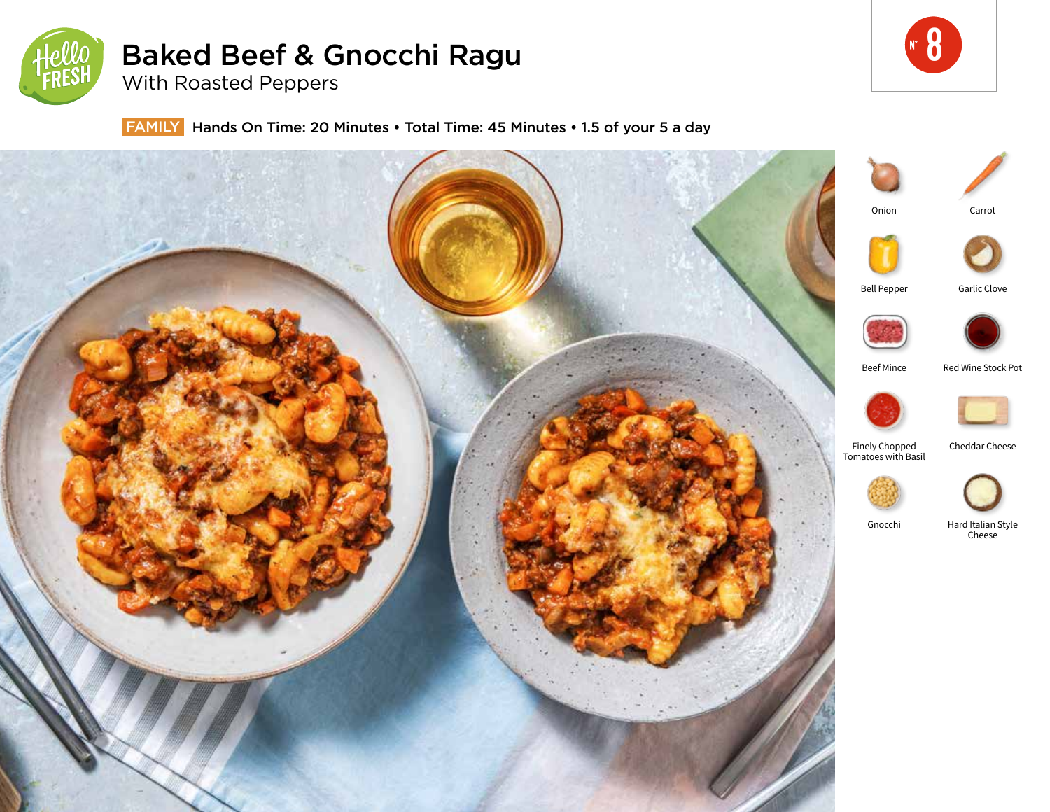

# Baked Beef & Gnocchi Ragu



With Roasted Peppers

FAMILY Hands On Time: 20 Minutes • Total Time: 45 Minutes • 1.5 of your 5 a day